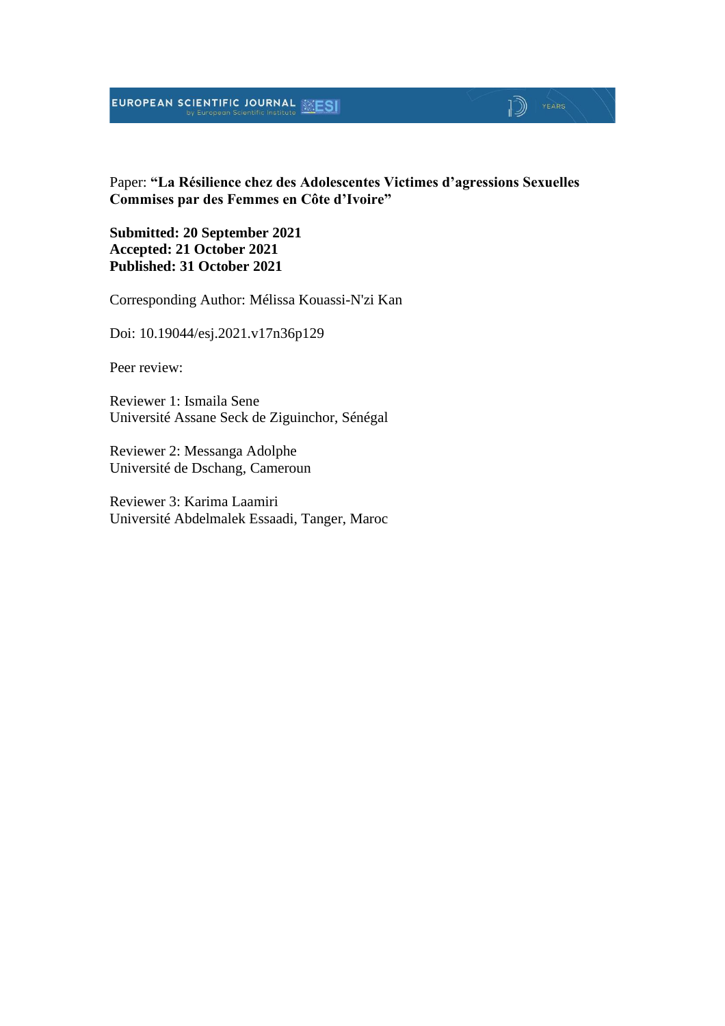### **EUROPEAN SCIENTIFIC JOURNAL ESESI**

## $\mathbb{D}$   $\mathbb{P}$   $\mathbb{P}$   $\mathbb{P}$   $\mathbb{P}$   $\mathbb{P}$   $\mathbb{P}$   $\mathbb{P}$   $\mathbb{P}$   $\mathbb{P}$   $\mathbb{P}$   $\mathbb{P}$   $\mathbb{P}$   $\mathbb{P}$   $\mathbb{P}$   $\mathbb{P}$   $\mathbb{P}$   $\mathbb{P}$   $\mathbb{P}$   $\mathbb{P}$   $\mathbb{P}$   $\mathbb{P}$   $\mathbb{P}$   $\mathbb{P}$   $\mathbb{$

Paper: **"La Résilience chez des Adolescentes Victimes d'agressions Sexuelles Commises par des Femmes en Côte d'Ivoire"**

**Submitted: 20 September 2021 Accepted: 21 October 2021 Published: 31 October 2021**

Corresponding Author: Mélissa Kouassi-N'zi Kan

Doi: 10.19044/esj.2021.v17n36p129

Peer review:

Reviewer 1: Ismaila Sene Université Assane Seck de Ziguinchor, Sénégal

Reviewer 2: Messanga Adolphe Université de Dschang, Cameroun

Reviewer 3: Karima Laamiri Université Abdelmalek Essaadi, Tanger, Maroc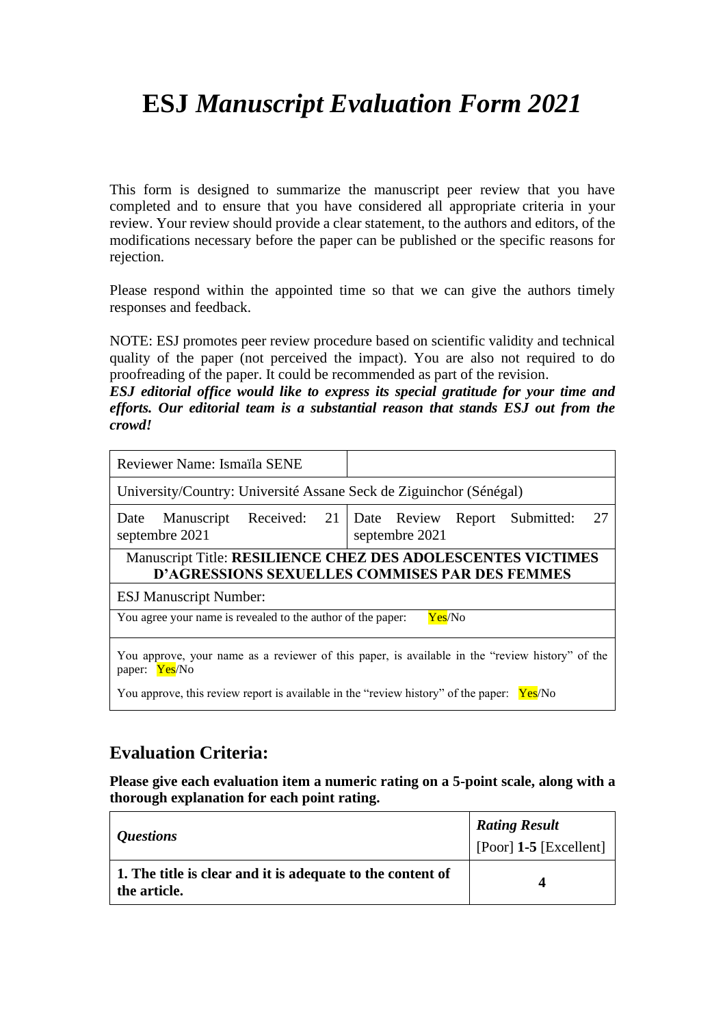# **ESJ** *Manuscript Evaluation Form 2021*

This form is designed to summarize the manuscript peer review that you have completed and to ensure that you have considered all appropriate criteria in your review. Your review should provide a clear statement, to the authors and editors, of the modifications necessary before the paper can be published or the specific reasons for rejection.

Please respond within the appointed time so that we can give the authors timely responses and feedback.

NOTE: ESJ promotes peer review procedure based on scientific validity and technical quality of the paper (not perceived the impact). You are also not required to do proofreading of the paper. It could be recommended as part of the revision.

*ESJ editorial office would like to express its special gratitude for your time and efforts. Our editorial team is a substantial reason that stands ESJ out from the crowd!*

| Reviewer Name: Ismaïla SENE                                                                                                 |                                                                                                 |  |
|-----------------------------------------------------------------------------------------------------------------------------|-------------------------------------------------------------------------------------------------|--|
| University/Country: Université Assane Seck de Ziguinchor (Sénégal)                                                          |                                                                                                 |  |
| Manuscript<br>Date<br>septembre 2021                                                                                        | Received: 21   Date Review Report Submitted:<br>27<br>septembre 2021                            |  |
| <b>Manuscript Title: RESILIENCE CHEZ DES ADOLESCENTES VICTIMES</b><br><b>D'AGRESSIONS SEXUELLES COMMISES PAR DES FEMMES</b> |                                                                                                 |  |
| <b>ESJ Manuscript Number:</b>                                                                                               |                                                                                                 |  |
| You agree your name is revealed to the author of the paper:<br>Yes/No                                                       |                                                                                                 |  |
| paper: Yes/No<br>You approve, this review report is available in the "review history" of the paper: Yes/No                  | You approve, your name as a reviewer of this paper, is available in the "review history" of the |  |

### **Evaluation Criteria:**

**Please give each evaluation item a numeric rating on a 5-point scale, along with a thorough explanation for each point rating.**

| <i>Questions</i>                                                           | <b>Rating Result</b><br>[Poor] $1-5$ [Excellent] |
|----------------------------------------------------------------------------|--------------------------------------------------|
| 1. The title is clear and it is adequate to the content of<br>the article. |                                                  |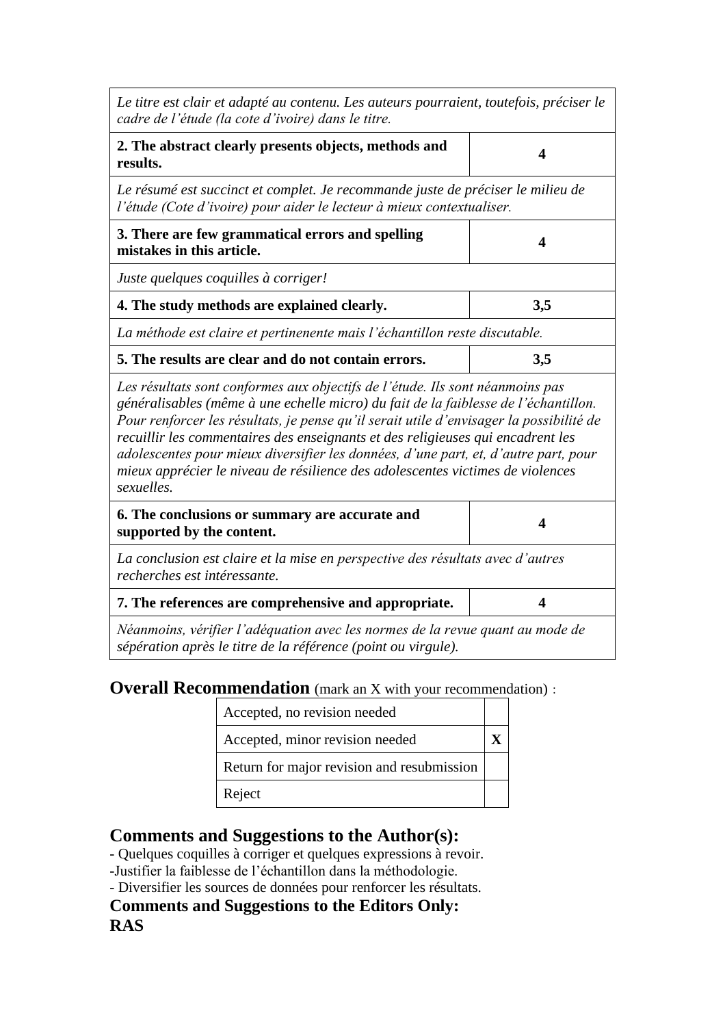| Le titre est clair et adapté au contenu. Les auteurs pourraient, toutefois, préciser le<br>cadre de l'étude (la cote d'ivoire) dans le titre.                                                                                                                                                                                                                                                                                                                                                                                             |     |  |
|-------------------------------------------------------------------------------------------------------------------------------------------------------------------------------------------------------------------------------------------------------------------------------------------------------------------------------------------------------------------------------------------------------------------------------------------------------------------------------------------------------------------------------------------|-----|--|
| 2. The abstract clearly presents objects, methods and<br>results.                                                                                                                                                                                                                                                                                                                                                                                                                                                                         | 4   |  |
| Le résumé est succinct et complet. Je recommande juste de préciser le milieu de<br>l'étude (Cote d'ivoire) pour aider le lecteur à mieux contextualiser.                                                                                                                                                                                                                                                                                                                                                                                  |     |  |
| 3. There are few grammatical errors and spelling<br>mistakes in this article.                                                                                                                                                                                                                                                                                                                                                                                                                                                             | 4   |  |
| Juste quelques coquilles à corriger!                                                                                                                                                                                                                                                                                                                                                                                                                                                                                                      |     |  |
| 4. The study methods are explained clearly.                                                                                                                                                                                                                                                                                                                                                                                                                                                                                               | 3,5 |  |
| La méthode est claire et pertinenente mais l'échantillon reste discutable.                                                                                                                                                                                                                                                                                                                                                                                                                                                                |     |  |
| 5. The results are clear and do not contain errors.<br>3,5                                                                                                                                                                                                                                                                                                                                                                                                                                                                                |     |  |
| Les résultats sont conformes aux objectifs de l'étude. Ils sont néanmoins pas<br>généralisables (même à une echelle micro) du fait de la faiblesse de l'échantillon.<br>Pour renforcer les résultats, je pense qu'il serait utile d'envisager la possibilité de<br>recuillir les commentaires des enseignants et des religieuses qui encadrent les<br>adolescentes pour mieux diversifier les données, d'une part, et, d'autre part, pour<br>mieux apprécier le niveau de résilience des adolescentes victimes de violences<br>sexuelles. |     |  |
| 6. The conclusions or summary are accurate and<br>supported by the content.                                                                                                                                                                                                                                                                                                                                                                                                                                                               | 4   |  |
| La conclusion est claire et la mise en perspective des résultats avec d'autres<br>recherches est intéressante.                                                                                                                                                                                                                                                                                                                                                                                                                            |     |  |
| 7. The references are comprehensive and appropriate.                                                                                                                                                                                                                                                                                                                                                                                                                                                                                      | 4   |  |
| Néanmoins, vérifier l'adéquation avec les normes de la revue quant au mode de<br>sépération après le titre de la référence (point ou virgule).                                                                                                                                                                                                                                                                                                                                                                                            |     |  |

## **Overall Recommendation** (mark an X with your recommendation):

| Accepted, no revision needed               |  |
|--------------------------------------------|--|
| Accepted, minor revision needed            |  |
| Return for major revision and resubmission |  |
| Reject                                     |  |

### **Comments and Suggestions to the Author(s):**

- Quelques coquilles à corriger et quelques expressions à revoir.

-Justifier la faiblesse de l'échantillon dans la méthodologie.

- Diversifier les sources de données pour renforcer les résultats.

### **Comments and Suggestions to the Editors Only: RAS**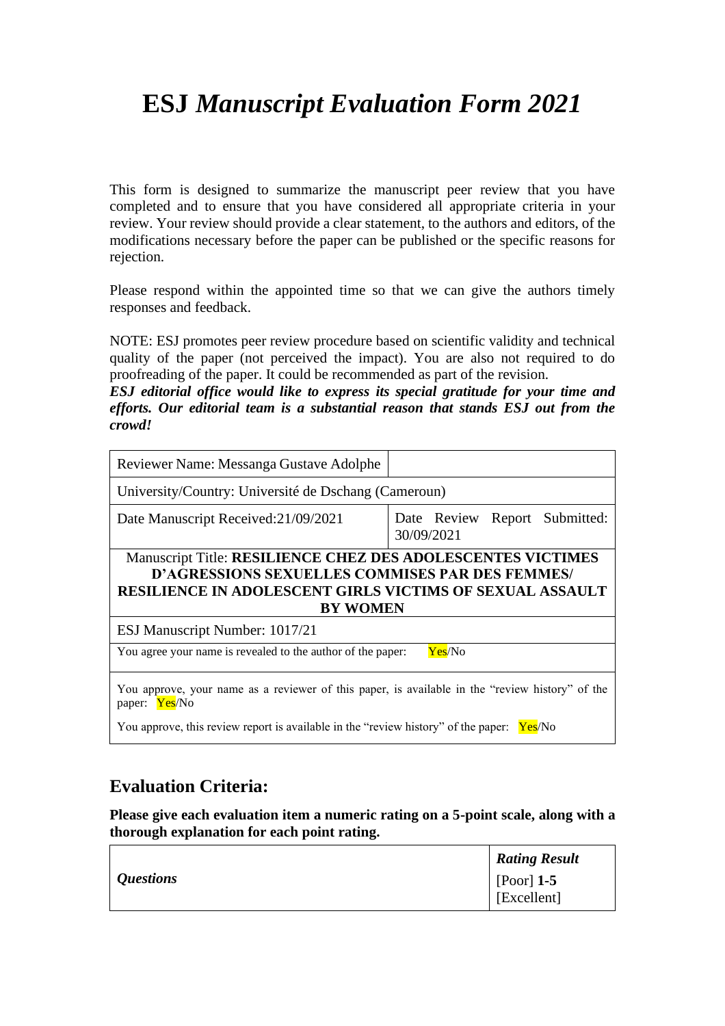# **ESJ** *Manuscript Evaluation Form 2021*

This form is designed to summarize the manuscript peer review that you have completed and to ensure that you have considered all appropriate criteria in your review. Your review should provide a clear statement, to the authors and editors, of the modifications necessary before the paper can be published or the specific reasons for rejection.

Please respond within the appointed time so that we can give the authors timely responses and feedback.

NOTE: ESJ promotes peer review procedure based on scientific validity and technical quality of the paper (not perceived the impact). You are also not required to do proofreading of the paper. It could be recommended as part of the revision.

*ESJ editorial office would like to express its special gratitude for your time and efforts. Our editorial team is a substantial reason that stands ESJ out from the crowd!*

| Reviewer Name: Messanga Gustave Adolphe                                                                                                                                                                            |                                             |
|--------------------------------------------------------------------------------------------------------------------------------------------------------------------------------------------------------------------|---------------------------------------------|
| University/Country: Université de Dschang (Cameroun)                                                                                                                                                               |                                             |
| Date Manuscript Received:21/09/2021                                                                                                                                                                                | Date Review Report Submitted:<br>30/09/2021 |
| <b>Manuscript Title: RESILIENCE CHEZ DES ADOLESCENTES VICTIMES</b><br><b>D'AGRESSIONS SEXUELLES COMMISES PAR DES FEMMES/</b><br><b>RESILIENCE IN ADOLESCENT GIRLS VICTIMS OF SEXUAL ASSAULT</b><br><b>BY WOMEN</b> |                                             |
| ESJ Manuscript Number: 1017/21                                                                                                                                                                                     |                                             |
| You agree your name is revealed to the author of the paper:                                                                                                                                                        | Yes/No                                      |
| You approve, your name as a reviewer of this paper, is available in the "review history" of the<br>paper: Yes/No<br>You approve, this review report is available in the "review history" of the paper: Yes/No      |                                             |

### **Evaluation Criteria:**

**Please give each evaluation item a numeric rating on a 5-point scale, along with a thorough explanation for each point rating.**

|                  | <b>Rating Result</b>        |
|------------------|-----------------------------|
| <i>Questions</i> | [Poor] $1-5$<br>[Excellent] |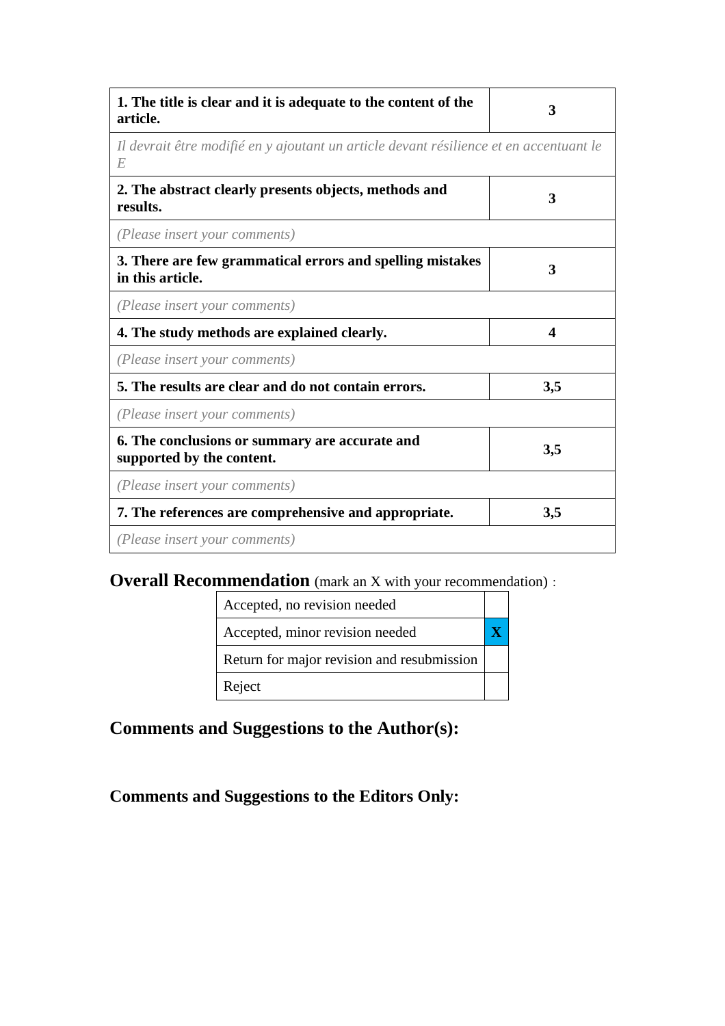| 1. The title is clear and it is adequate to the content of the<br>article.                  | 3   |
|---------------------------------------------------------------------------------------------|-----|
| Il devrait être modifié en y ajoutant un article devant résilience et en accentuant le<br>E |     |
| 2. The abstract clearly presents objects, methods and<br>results.                           | 3   |
| (Please insert your comments)                                                               |     |
| 3. There are few grammatical errors and spelling mistakes<br>in this article.               | 3   |
| (Please insert your comments)                                                               |     |
| 4. The study methods are explained clearly.                                                 | 4   |
| (Please insert your comments)                                                               |     |
| 5. The results are clear and do not contain errors.                                         | 3,5 |
| (Please insert your comments)                                                               |     |
| 6. The conclusions or summary are accurate and<br>supported by the content.                 | 3,5 |
| (Please insert your comments)                                                               |     |
| 7. The references are comprehensive and appropriate.                                        | 3,5 |
| (Please insert your comments)                                                               |     |

## **Overall Recommendation** (mark an X with your recommendation):

| Accepted, no revision needed               |  |
|--------------------------------------------|--|
| Accepted, minor revision needed            |  |
| Return for major revision and resubmission |  |
| Reject                                     |  |

## **Comments and Suggestions to the Author(s):**

## **Comments and Suggestions to the Editors Only:**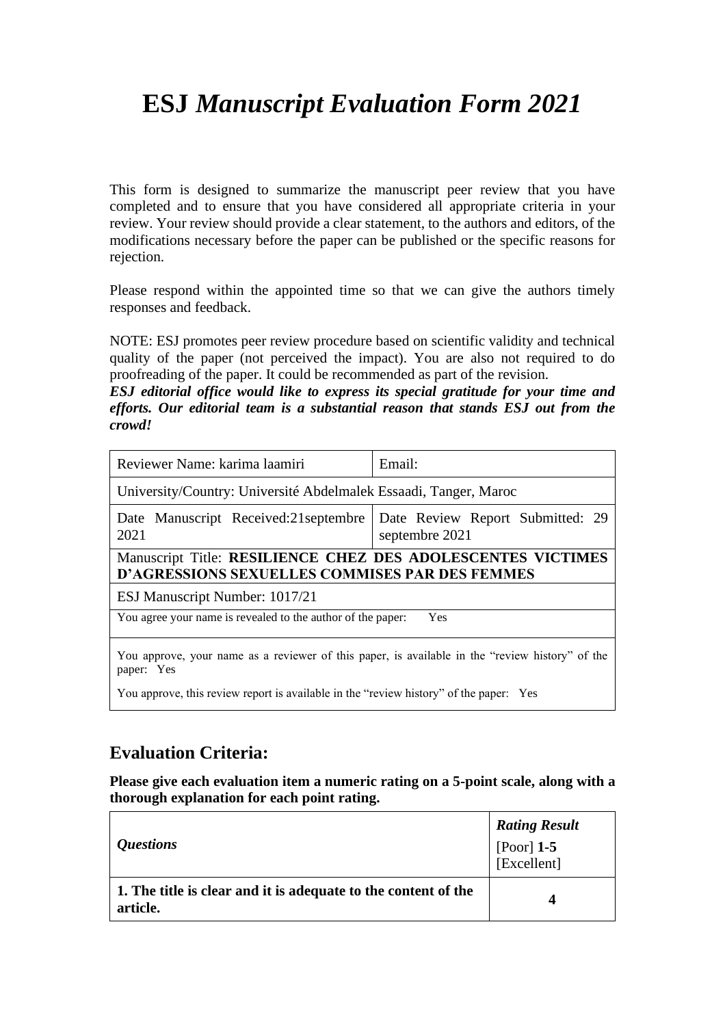# **ESJ** *Manuscript Evaluation Form 2021*

This form is designed to summarize the manuscript peer review that you have completed and to ensure that you have considered all appropriate criteria in your review. Your review should provide a clear statement, to the authors and editors, of the modifications necessary before the paper can be published or the specific reasons for rejection.

Please respond within the appointed time so that we can give the authors timely responses and feedback.

NOTE: ESJ promotes peer review procedure based on scientific validity and technical quality of the paper (not perceived the impact). You are also not required to do proofreading of the paper. It could be recommended as part of the revision.

*ESJ editorial office would like to express its special gratitude for your time and efforts. Our editorial team is a substantial reason that stands ESJ out from the crowd!*

| Reviewer Name: karima laamiri                                                                                        | Email:                                             |  |
|----------------------------------------------------------------------------------------------------------------------|----------------------------------------------------|--|
| University/Country: Université Abdelmalek Essaadi, Tanger, Maroc                                                     |                                                    |  |
| Date Manuscript Received:21 septembre<br>2021                                                                        | Date Review Report Submitted: 29<br>septembre 2021 |  |
| Manuscript Title: RESILIENCE CHEZ DES ADOLESCENTES VICTIMES<br><b>D'AGRESSIONS SEXUELLES COMMISES PAR DES FEMMES</b> |                                                    |  |
| ESJ Manuscript Number: 1017/21                                                                                       |                                                    |  |
| You agree your name is revealed to the author of the paper:<br>Yes                                                   |                                                    |  |
| You approve, your name as a reviewer of this paper, is available in the "review history" of the<br>paper: Yes        |                                                    |  |
| You approve, this review report is available in the "review history" of the paper: Yes                               |                                                    |  |

### **Evaluation Criteria:**

**Please give each evaluation item a numeric rating on a 5-point scale, along with a thorough explanation for each point rating.**

| <i><b>Ouestions</b></i>                                                    | <b>Rating Result</b><br>[Poor] $1-5$<br>[Excellent] |
|----------------------------------------------------------------------------|-----------------------------------------------------|
| 1. The title is clear and it is adequate to the content of the<br>article. |                                                     |